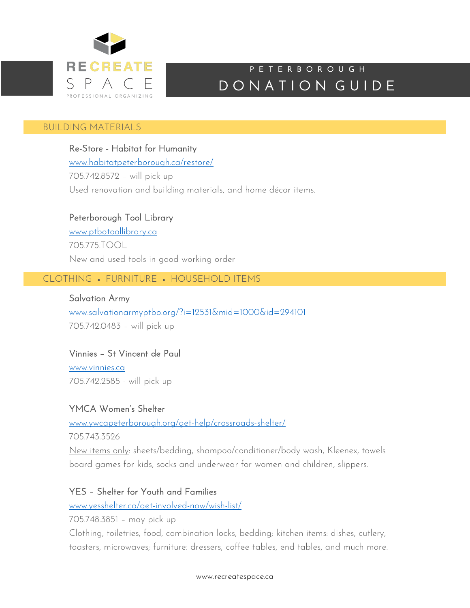

# DONATION GUIDE P E T E R B O R O U G H

#### I BUILDING MATERIALS

Re-Store - Habitat for Humanity www.habitatpeterborough.ca/restore/ 705.742.8572 – will pick up Used renovation and building materials, and home décor items.

# Peterborough Tool Library

www.ptbotoollibrary.ca 705.775.TOOL New and used tools in good working order

# CLOTHING • FURNITURE • HOUSEHOLD ITEMS

Salvation Army www.salvationarmyptbo.org/?i=12531&mid=1000&id=294101 705.742.0483 – will pick up

### Vinnies – St Vincent de Paul

www.vinnies.ca *705.742.*2585 - will pick up

### YMCA Women's Shelter

www.ywcapeterborough.org/get-help/crossroads-shelter/

705.743.3526

New items only: sheets/bedding, shampoo/conditioner/body wash, Kleenex, towels board games for kids, socks and underwear for women and children, slippers.

### YES – Shelter for Youth and Families

www.yesshelter.ca/get-involved-now/wish-list/

705.748.3851 – may pick up

Clothing, toiletries, food, combination locks, bedding; kitchen items: dishes, cutlery, toasters, microwaves; furniture: dressers, coffee tables, end tables, and much more.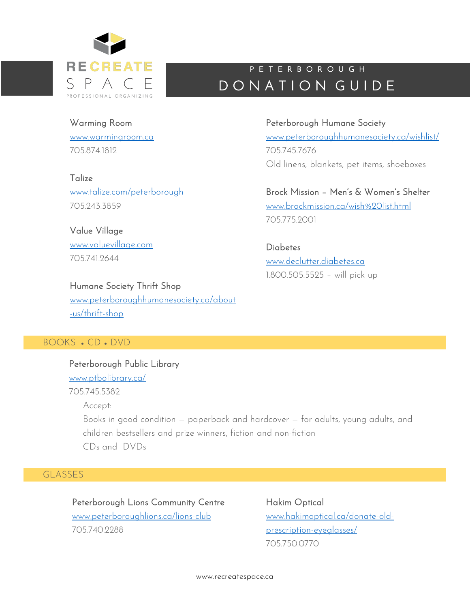

# DONATION GUIDE P E T E R B O R O U G H

705.745.7676

705.775.2001

Peterborough Humane Society

www.peterboroughhumanesociety.ca/wishlist/

Old linens, blankets, pet items, shoeboxes

Brock Mission – Men's & Women's Shelter

www.brockmission.ca/wish%20list.html

# Warming Room

www.warmingroom.ca 705.874.1812

### **Talize**

www.talize.com/peterborough 705.243.3859

Value Village www.valuevillage.com 7057419644

### Humane Society Thrift Shop

www.peterboroughhumanesociety.ca/about -us/thrift-shop

# BOOKS • CD • DVD

Peterborough Public Library www.ptbolibrary.ca/ 705.745.5382 Accept: Books in good condition — paperback and hardcover — for adults, young adults, and children bestsellers and prize winners, fiction and non-fiction CDs and DVDs

# GLASSES

Peterborough Lions Community Centre www.peterboroughlions.ca/lions-club 705.740.2288

Hakim Optical www.hakimoptical.ca/donate-oldprescription-eyeglasses/ 705.750.0770

**Diabetes** www.declutter.diabetes.ca 1.800.505.5525 – will pick up

www.recreatespace.ca